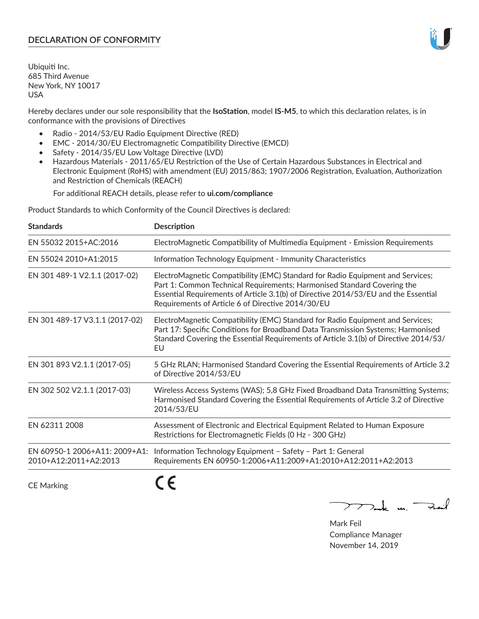# **DECLARATION OF CONFORMITY**

Ubiquiti Inc. 685 Third Avenue New York, NY 10017 USA

Hereby declares under our sole responsibility that the **IsoStation**, model **IS-M5**, to which this declaration relates, is in conformance with the provisions of Directives

- Radio 2014/53/EU Radio Equipment Directive (RED)
- EMC 2014/30/EU Electromagnetic Compatibility Directive (EMCD)
- Safety 2014/35/EU Low Voltage Directive (LVD)
- Hazardous Materials 2011/65/EU Restriction of the Use of Certain Hazardous Substances in Electrical and Electronic Equipment (RoHS) with amendment (EU) 2015/863; 1907/2006 Registration, Evaluation, Authorization and Restriction of Chemicals (REACH)

For additional REACH details, please refer to **ui.com/compliance**

Product Standards to which Conformity of the Council Directives is declared:

| <b>Standards</b>                                       | <b>Description</b>                                                                                                                                                                                                                                                                                   |
|--------------------------------------------------------|------------------------------------------------------------------------------------------------------------------------------------------------------------------------------------------------------------------------------------------------------------------------------------------------------|
| EN 55032 2015+AC:2016                                  | ElectroMagnetic Compatibility of Multimedia Equipment - Emission Requirements                                                                                                                                                                                                                        |
| EN 55024 2010+A1:2015                                  | Information Technology Equipment - Immunity Characteristics                                                                                                                                                                                                                                          |
| EN 301 489-1 V2.1.1 (2017-02)                          | ElectroMagnetic Compatibility (EMC) Standard for Radio Equipment and Services;<br>Part 1: Common Technical Requirements; Harmonised Standard Covering the<br>Essential Requirements of Article 3.1(b) of Directive 2014/53/EU and the Essential<br>Requirements of Article 6 of Directive 2014/30/EU |
| EN 301 489-17 V3.1.1 (2017-02)                         | ElectroMagnetic Compatibility (EMC) Standard for Radio Equipment and Services;<br>Part 17: Specific Conditions for Broadband Data Transmission Systems; Harmonised<br>Standard Covering the Essential Requirements of Article 3.1(b) of Directive 2014/53/<br>EU                                     |
| EN 301 893 V2.1.1 (2017-05)                            | 5 GHz RLAN; Harmonised Standard Covering the Essential Requirements of Article 3.2<br>of Directive 2014/53/EU                                                                                                                                                                                        |
| EN 302 502 V2.1.1 (2017-03)                            | Wireless Access Systems (WAS); 5,8 GHz Fixed Broadband Data Transmitting Systems;<br>Harmonised Standard Covering the Essential Requirements of Article 3.2 of Directive<br>2014/53/EU                                                                                                               |
| EN 62311 2008                                          | Assessment of Electronic and Electrical Equipment Related to Human Exposure<br>Restrictions for Electromagnetic Fields (0 Hz - 300 GHz)                                                                                                                                                              |
| EN 60950-1 2006+A11: 2009+A1:<br>2010+A12:2011+A2:2013 | Information Technology Equipment - Safety - Part 1: General<br>Requirements EN 60950-1:2006+A11:2009+A1:2010+A12:2011+A2:2013                                                                                                                                                                        |
|                                                        |                                                                                                                                                                                                                                                                                                      |

CE Marking

C C

mak m. Fuil

Mark Feil Compliance Manager November 14, 2019

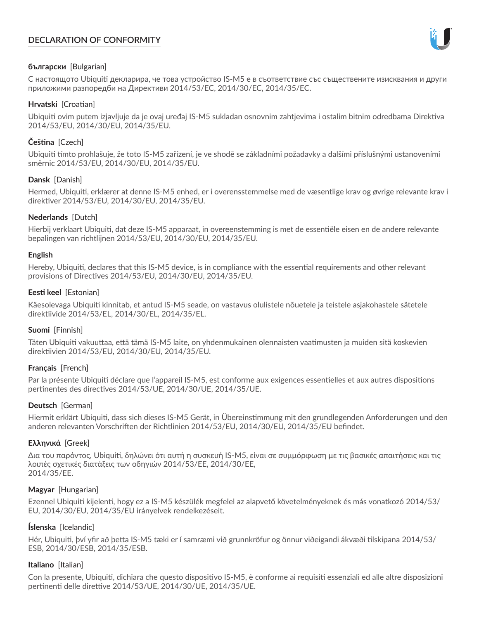# **DECLARATION OF CONFORMITY**



## **български** [Bulgarian]

С настоящото Ubiquiti декларира, че това устройство IS-M5 е в съответствие със съществените изисквания и други приложими разпоредби на Директиви 2014/53/EC, 2014/30/ЕС, 2014/35/ЕС.

## **Hrvatski** [Croatian]

Ubiquiti ovim putem izjavljuje da je ovaj uređaj IS-M5 sukladan osnovnim zahtjevima i ostalim bitnim odredbama Direktiva 2014/53/EU, 2014/30/EU, 2014/35/EU.

## **Čeština** [Czech]

Ubiquiti tímto prohlašuje, že toto IS-M5 zařízení, je ve shodě se základními požadavky a dalšími příslušnými ustanoveními směrnic 2014/53/EU, 2014/30/EU, 2014/35/EU.

## **Dansk** [Danish]

Hermed, Ubiquiti, erklærer at denne IS-M5 enhed, er i overensstemmelse med de væsentlige krav og øvrige relevante krav i direktiver 2014/53/EU, 2014/30/EU, 2014/35/EU.

## **Nederlands** [Dutch]

Hierbij verklaart Ubiquiti, dat deze IS-M5 apparaat, in overeenstemming is met de essentiële eisen en de andere relevante bepalingen van richtlijnen 2014/53/EU, 2014/30/EU, 2014/35/EU.

## **English**

Hereby, Ubiquiti, declares that this IS-M5 device, is in compliance with the essential requirements and other relevant provisions of Directives 2014/53/EU, 2014/30/EU, 2014/35/EU.

## **Eesti keel** [Estonian]

Käesolevaga Ubiquiti kinnitab, et antud IS-M5 seade, on vastavus olulistele nõuetele ja teistele asjakohastele sätetele direktiivide 2014/53/EL, 2014/30/EL, 2014/35/EL.

## **Suomi** [Finnish]

Täten Ubiquiti vakuuttaa, että tämä IS-M5 laite, on yhdenmukainen olennaisten vaatimusten ja muiden sitä koskevien direktiivien 2014/53/EU, 2014/30/EU, 2014/35/EU.

## **Français** [French]

Par la présente Ubiquiti déclare que l'appareil IS-M5, est conforme aux exigences essentielles et aux autres dispositions pertinentes des directives 2014/53/UE, 2014/30/UE, 2014/35/UE.

## **Deutsch** [German]

Hiermit erklärt Ubiquiti, dass sich dieses IS-M5 Gerät, in Übereinstimmung mit den grundlegenden Anforderungen und den anderen relevanten Vorschriften der Richtlinien 2014/53/EU, 2014/30/EU, 2014/35/EU befindet.

## **Ελληνικά** [Greek]

Δια του παρόντος, Ubiquiti, δηλώνει ότι αυτή η συσκευή IS-M5, είναι σε συμμόρφωση με τις βασικές απαιτήσεις και τις λοιπές σχετικές διατάξεις των οδηγιών 2014/53/EE, 2014/30/EE, 2014/35/EE.

## **Magyar** [Hungarian]

Ezennel Ubiquiti kijelenti, hogy ez a IS-M5 készülék megfelel az alapvető követelményeknek és más vonatkozó 2014/53/ EU, 2014/30/EU, 2014/35/EU irányelvek rendelkezéseit.

## **Íslenska** [Icelandic]

Hér, Ubiquiti, því yfir að þetta IS-M5 tæki er í samræmi við grunnkröfur og önnur viðeigandi ákvæði tilskipana 2014/53/ ESB, 2014/30/ESB, 2014/35/ESB.

## **Italiano** [Italian]

Con la presente, Ubiquiti, dichiara che questo dispositivo IS-M5, è conforme ai requisiti essenziali ed alle altre disposizioni pertinenti delle direttive 2014/53/UE, 2014/30/UE, 2014/35/UE.